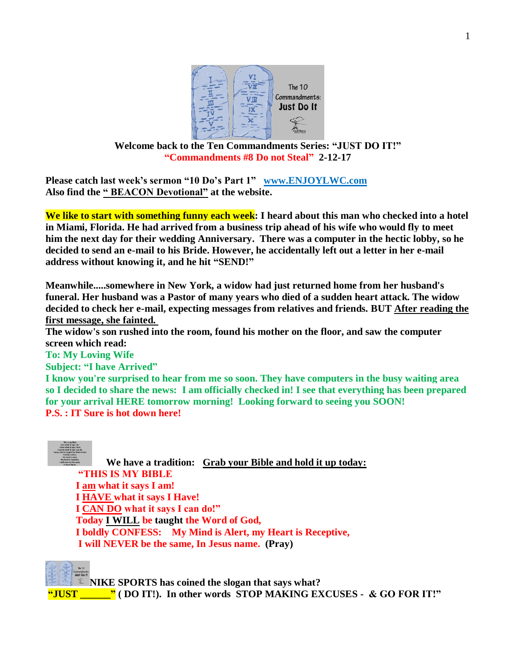

#### **Welcome back to the Ten Commandments Series: "JUST DO IT!" "Commandments #8 Do not Steal" 2-12-17**

**Please catch last week's sermon "10 Do's Part 1" [www.ENJOYLWC.com](http://www.enjoylwc.com/)  Also find the " BEACON Devotional" at the website.**

**We like to start with something funny each week: I heard about this man who checked into a hotel in Miami, Florida. He had arrived from a business trip ahead of his wife who would fly to meet him the next day for their wedding Anniversary. There was a computer in the hectic lobby, so he decided to send an e-mail to his Bride. However, he accidentally left out a letter in her e-mail address without knowing it, and he hit "SEND!"**

**Meanwhile.....somewhere in New York, a widow had just returned home from her husband's funeral. Her husband was a Pastor of many years who died of a sudden heart attack. The widow decided to check her e-mail, expecting messages from relatives and friends. BUT After reading the first message, she fainted.**

**The widow's son rushed into the room, found his mother on the floor, and saw the computer screen which read:**

**To: My Loving Wife**

**Subject: "I have Arrived"**

**I know you're surprised to hear from me so soon. They have computers in the busy waiting area so I decided to share the news: I am officially checked in! I see that everything has been prepared for your arrival HERE tomorrow morning! Looking forward to seeing you SOON! P.S. : IT Sure is hot down here!**



**We have a tradition: Grab your Bible and hold it up today: "THIS IS MY BIBLE I am what it says I am! I HAVE what it says I Have! I CAN DO what it says I can do!" Today I WILL be taught the Word of God, I boldly CONFESS: My Mind is Alert, my Heart is Receptive, I will NEVER be the same, In Jesus name. (Pray)**

**NIKE SPORTS has coined the slogan that says what?** 

**"JUST \_\_\_\_\_\_" ( DO IT!). In other words STOP MAKING EXCUSES - & GO FOR IT!"**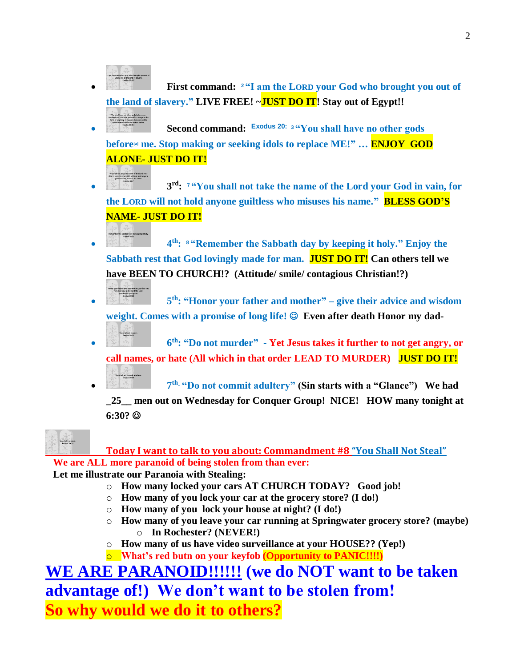

You shall not take the name of the Lord your<br>God in vain, for the LORD will not hold anyone<br>partition who relieves his name

 **First command: <sup>2</sup> "I am the LORD your God who brought you out of the land of slavery." LIVE FREE! ~JUST DO IT! Stay out of Egypt!!**

 **Second command: Exodus 20: <sup>3</sup> "You shall have no other gods before[\[a\]](https://www.biblegateway.com/passage/?search=exodus+20%3A2-5&version=NIV#fen-NIV-2055a) me. Stop making or seeking idols to replace ME!" … ENJOY GOD ALONE- JUST DO IT!** 

**b 3 rd: <sup>7</sup> "You shall not take the name of the Lord your God in vain, for the LORD will not hold anyone guiltless who misuses his name." BLESS GOD'S NAME- JUST DO IT!**

**4 th: <sup>8</sup> "Remember the Sabbath day by keeping it holy." Enjoy the Sabbath rest that God lovingly made for man. JUST DO IT! Can others tell we have BEEN TO CHURCH!? (Attitude/ smile/ contagious Christian!?)** 



**th: "Honor your father and mother" – give their advice and wisdom weight. Comes with a promise of long life! Even after death Honor my dad-**

**6 th: "Do not murder" - Yet Jesus takes it further to not get angry, or call names, or hate (All which in that order LEAD TO MURDER) JUST DO IT!**



**th "Do not commit adultery" (Sin starts with a "Glance") We had** 

**\_25\_\_ men out on Wednesday for Conquer Group! NICE! HOW many tonight at 6:30?** 



**Today I want to talk to you about: Commandment #8 "You Shall Not Steal" We are ALL more paranoid of being stolen from than ever:** 

**Let me illustrate our Paranoia with Stealing:** 

- o **How many locked your cars AT CHURCH TODAY? Good job!**
- o **How many of you lock your car at the grocery store? (I do!)**
- o **How many of you lock your house at night? (I do!)**
- o **How many of you leave your car running at Springwater grocery store? (maybe)** o **In Rochester? (NEVER!)**
- o **How many of us have video surveillance at your HOUSE?? (Yep!)**
- o **What's red butn on your keyfob (Opportunity to PANIC!!!!)**

# **WE ARE PARANOID!!!!!! (we do NOT want to be taken advantage of!) We don't want to be stolen from! So why would we do it to others?**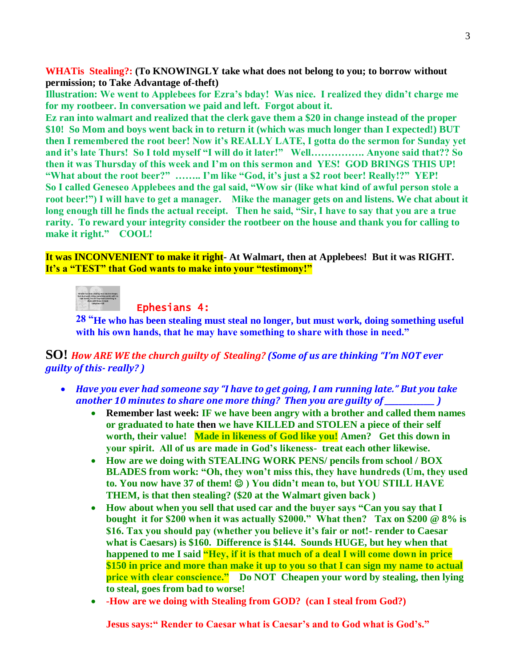**WHATis Stealing?: (To KNOWINGLY take what does not belong to you; to borrow without permission; to Take Advantage of-theft)**

**Illustration: We went to Applebees for Ezra's bday! Was nice. I realized they didn't charge me for my rootbeer. In conversation we paid and left. Forgot about it.** 

**Ez ran into walmart and realized that the clerk gave them a \$20 in change instead of the proper \$10! So Mom and boys went back in to return it (which was much longer than I expected!) BUT then I remembered the root beer! Now it's REALLY LATE, I gotta do the sermon for Sunday yet and it's late Thurs! So I told myself "I will do it later!" Well……………. Anyone said that?? So then it was Thursday of this week and I'm on this sermon and YES! GOD BRINGS THIS UP! "What about the root beer?" …….. I'm like "God, it's just a \$2 root beer! Really!?" YEP! So I called Geneseo Applebees and the gal said, "Wow sir (like what kind of awful person stole a root beer!") I will have to get a manager. Mike the manager gets on and listens. We chat about it long enough till he finds the actual receipt. Then he said, "Sir, I have to say that you are a true rarity. To reward your integrity consider the rootbeer on the house and thank you for calling to make it right." COOL!** 

**It was INCONVENIENT to make it right- At Walmart, then at Applebees! But it was RIGHT. It's a "TEST" that God wants to make into your "testimony!"**

## Ephesians 4:

**28 "He who has been stealing must steal no longer, but must work, doing something useful with his own hands, that he may have something to share with those in need."** 

**SO!** *How ARE WE the church guilty of Stealing? (Some of us are thinking "I'm NOT ever guilty of this- really? )* 

- *Have you ever had someone say "I have to get going, I am running late." But you take another 10 minutes to share one more thing? Then you are guilty of \_\_\_\_\_\_\_\_\_\_\_\_* 
	- **Remember last week: IF we have been angry with a brother and called them names or graduated to hate then we have KILLED and STOLEN a piece of their self worth, their value! Made in likeness of God like you! Amen? Get this down in your spirit. All of us are made in God's likeness- treat each other likewise.**
	- **How are we doing with STEALING WORK PENS/ pencils from school / BOX BLADES from work: "Oh, they won't miss this, they have hundreds (Um, they used**  to. You now have 37 of them!  $\circledcirc$  ) You didn't mean to, but YOU STILL HAVE **THEM, is that then stealing? (\$20 at the Walmart given back )**
	- **How about when you sell that used car and the buyer says "Can you say that I bought it for \$200 when it was actually \$2000." What then? Tax on \$200 @ 8% is \$16. Tax you should pay (whether you believe it's fair or not!- render to Caesar what is Caesars) is \$160. Difference is \$144. Sounds HUGE, but hey when that happened to me I said "Hey, if it is that much of a deal I will come down in price \$150 in price and more than make it up to you so that I can sign my name to actual price with clear conscience." Do NOT Cheapen your word by stealing, then lying to steal, goes from bad to worse!**
	- **-How are we doing with Stealing from GOD? (can I steal from God?)**

**Jesus says:" Render to Caesar what is Caesar's and to God what is God's."**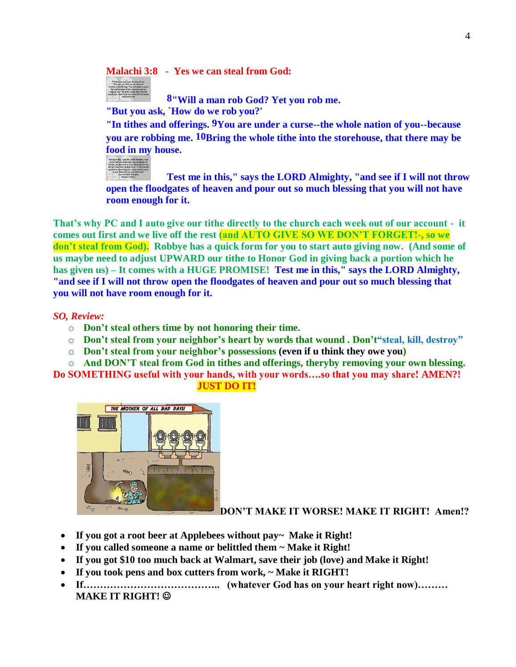**Malachi 3:8 - Yes we can steal from God:** 



**8"Will a man rob God? Yet you rob me.**

**"But you ask, `How do we rob you?'**

**"In tithes and offerings. 9You are under a curse--the whole nation of you--because you are robbing me. 10Bring the whole tithe into the storehouse, that there may be food in my house.** 



**Test me in this," says the LORD Almighty, "and see if I will not throw open the floodgates of heaven and pour out so much blessing that you will not have room enough for it.** 

**That's why PC and I auto give our tithe directly to the church each week out of our account - it comes out first and we live off the rest (and AUTO GIVE SO WE DON'T FORGET!-, so we don't steal from God). Robbye has a quick form for you to start auto giving now. (And some of us maybe need to adjust UPWARD our tithe to Honor God in giving back a portion which he has given us) – It comes with a HUGE PROMISE! Test me in this," says the LORD Almighty, "and see if I will not throw open the floodgates of heaven and pour out so much blessing that you will not have room enough for it.**

*SO, Review:* 

- o **Don't steal others time by not honoring their time.**
- o **Don't steal from your neighbor's heart by words that wound . Don't"steal, kill, destroy"**
- o **Don't steal from your neighbor's possessions (even if u think they owe you)**

o **And DON'T steal from God in tithes and offerings, theryby removing your own blessing. Do SOMETHING useful with your hands, with your words….so that you may share! AMEN?!**

#### **JUST DO IT!**



**DON'T MAKE IT WORSE! MAKE IT RIGHT! Amen!?**

- **If you got a root beer at Applebees without pay~ Make it Right!**
- **If you called someone a name or belittled them ~ Make it Right!**
- **If you got \$10 too much back at Walmart, save their job (love) and Make it Right!**
- **If you took pens and box cutters from work, ~ Make it RIGHT!**
- **If………………………………….. (whatever God has on your heart right now)……… MAKE IT RIGHT!**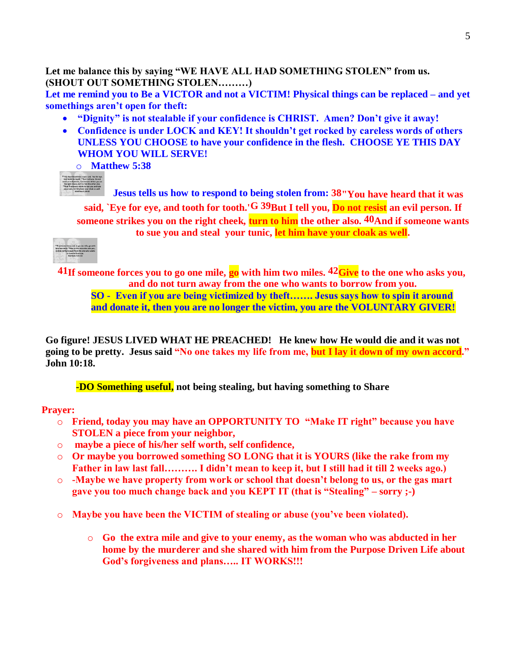**Let me balance this by saying "WE HAVE ALL HAD SOMETHING STOLEN" from us. (SHOUT OUT SOMETHING STOLEN………)** 

**Let me remind you to Be a VICTOR and not a VICTIM! Physical things can be replaced – and yet somethings aren't open for theft:** 

- **"Dignity" is not stealable if your confidence is CHRIST. Amen? Don't give it away!**
- **Confidence is under LOCK and KEY! It shouldn't get rocked by careless words of others UNLESS YOU CHOOSE to have your confidence in the flesh. CHOOSE YE THIS DAY WHOM YOU WILL SERVE!**

o **Matthew 5:38** 



**Jesus tells us how to respond to being stolen from: 38"You have heard that it was said, `Eye for eye, and tooth for tooth.'G 39But I tell you, Do not resist an evil person. If someone strikes you on the right cheek, turn to him the other also. 40And if someone wants to sue you and steal your tunic, let him have your cloak as well.** 



**41If someone forces you to go one mile, go with him two miles. 42Give to the one who asks you, and do not turn away from the one who wants to borrow from you. SO - Even if you are being victimized by theft……. Jesus says how to spin it around** 

**and donate it, then you are no longer the victim, you are the VOLUNTARY GIVER!**

**Go figure! JESUS LIVED WHAT HE PREACHED! He knew how He would die and it was not going to be pretty. Jesus said "No one takes my life from me, but I lay it down of my own accord." John 10:18.** 

**-DO Something useful, not being stealing, but having something to Share**

### **Prayer:**

- o **Friend, today you may have an OPPORTUNITY TO "Make IT right" because you have STOLEN a piece from your neighbor,**
- o **maybe a piece of his/her self worth, self confidence,**
- o **Or maybe you borrowed something SO LONG that it is YOURS (like the rake from my Father in law last fall………. I didn't mean to keep it, but I still had it till 2 weeks ago.)**
- o **-Maybe we have property from work or school that doesn't belong to us, or the gas mart gave you too much change back and you KEPT IT (that is "Stealing" – sorry ;-)**
- o **Maybe you have been the VICTIM of stealing or abuse (you've been violated).** 
	- o **Go the extra mile and give to your enemy, as the woman who was abducted in her home by the murderer and she shared with him from the Purpose Driven Life about God's forgiveness and plans….. IT WORKS!!!**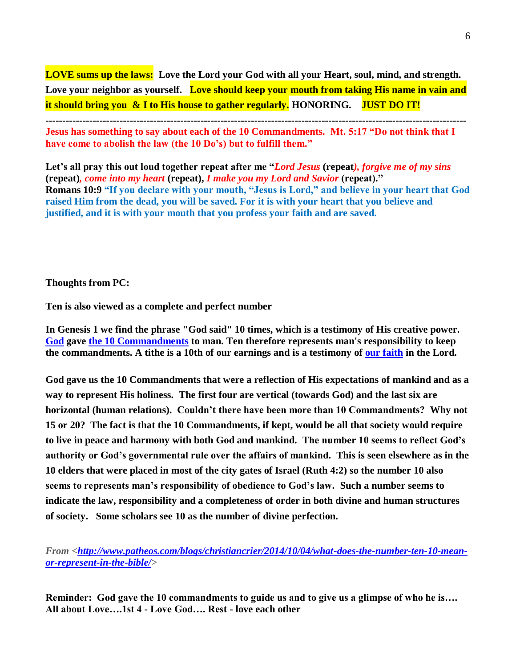**LOVE sums up the laws: Love the Lord your God with all your Heart, soul, mind, and strength.**  Love your neighbor as yourself. Love should keep your mouth from taking His name in vain and **it should bring you & I to His house to gather regularly. HONORING. JUST DO IT!**

**----------------------------------------------------------------------------------------------------------------------------- Jesus has something to say about each of the 10 Commandments. Mt. 5:17 "Do not think that I have come to abolish the law (the 10 Do's) but to fulfill them."**

**Let's all pray this out loud together repeat after me "***Lord Jesus* **(repeat***), forgive me of my sins*  **(repeat)***, come into my heart* **(repeat),** *I make you my Lord and Savior* **(repeat)." Romans 10:9 "If you declare with your mouth, "Jesus is Lord," and believe in your heart that God raised Him from the dead, you will be saved. For it is with your heart that you believe and justified, and it is with your mouth that you profess your faith and are saved.**

**Thoughts from PC:**

**Ten is also viewed as a complete and perfect number**

**In Genesis 1 we find the phrase "God said" 10 times, which is a testimony of His creative power. [God](http://www.biblestudy.org/theplainertruth/how-can-you-know-there-is-a-god.html) gave [the 10 Commandments](http://www.biblestudy.org/beginner/ten-commandments-in-old-and-new-testaments.html) to man. Ten therefore represents man's responsibility to keep the commandments. A tithe is a 10th of our earnings and is a testimony of [our faith](http://www.biblestudy.org/bible-study-by-topic/proverbs/trust.html) in the Lord.** 

**God gave us the 10 Commandments that were a reflection of His expectations of mankind and as a way to represent His holiness. The first four are vertical (towards God) and the last six are horizontal (human relations). Couldn't there have been more than 10 Commandments? Why not 15 or 20? The fact is that the 10 Commandments, if kept, would be all that society would require to live in peace and harmony with both God and mankind. The number 10 seems to reflect God's authority or God's governmental rule over the affairs of mankind. This is seen elsewhere as in the 10 elders that were placed in most of the city gates of Israel (Ruth 4:2) so the number 10 also seems to represents man's responsibility of obedience to God's law. Such a number seems to indicate the law, responsibility and a completeness of order in both divine and human structures of society. Some scholars see 10 as the number of divine perfection.**

*From [<http://www.patheos.com/blogs/christiancrier/2014/10/04/what-does-the-number-ten-10-mean](http://www.patheos.com/blogs/christiancrier/2014/10/04/what-does-the-number-ten-10-mean-or-represent-in-the-bible/)[or-represent-in-the-bible/>](http://www.patheos.com/blogs/christiancrier/2014/10/04/what-does-the-number-ten-10-mean-or-represent-in-the-bible/)* 

**Reminder: God gave the 10 commandments to guide us and to give us a glimpse of who he is…. All about Love….1st 4 - Love God…. Rest - love each other**